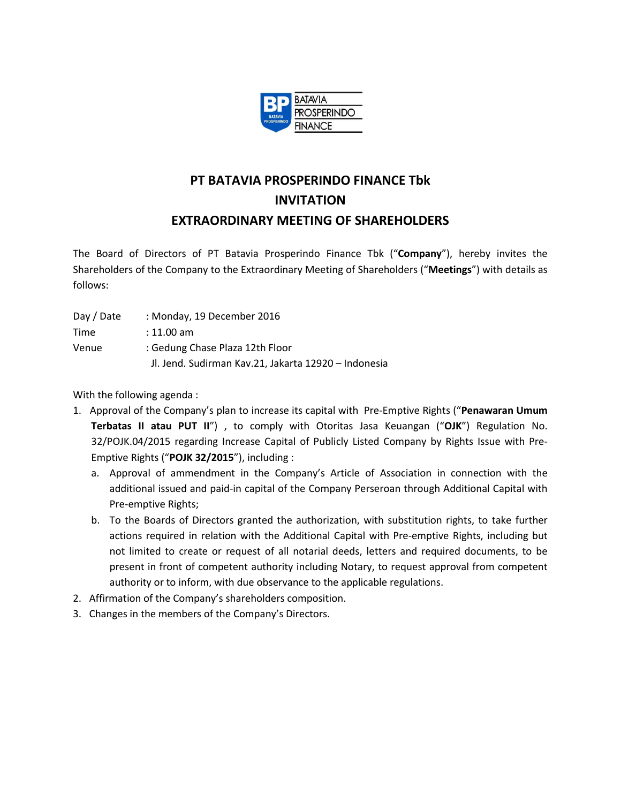

## **PT BATAVIA PROSPERINDO FINANCE Tbk INVITATION EXTRAORDINARY MEETING OF SHAREHOLDERS**

The Board of Directors of PT Batavia Prosperindo Finance Tbk ("**Company**"), hereby invites the Shareholders of the Company to the Extraordinary Meeting of Shareholders ("**Meetings**") with details as follows:

- Day / Date : Monday, 19 December 2016
- Time : 11.00 am
- Venue : Gedung Chase Plaza 12th Floor Jl. Jend. Sudirman Kav.21, Jakarta 12920 – Indonesia

With the following agenda :

- 1. Approval of the Company's plan to increase its capital with Pre-Emptive Rights ("**Penawaran Umum Terbatas II atau PUT II**") , to comply with Otoritas Jasa Keuangan ("**OJK**") Regulation No. 32/POJK.04/2015 regarding Increase Capital of Publicly Listed Company by Rights Issue with Pre-Emptive Rights ("**POJK 32/2015**"), including :
	- a. Approval of ammendment in the Company's Article of Association in connection with the additional issued and paid-in capital of the Company Perseroan through Additional Capital with Pre-emptive Rights;
	- b. To the Boards of Directors granted the authorization, with substitution rights, to take further actions required in relation with the Additional Capital with Pre-emptive Rights, including but not limited to create or request of all notarial deeds, letters and required documents, to be present in front of competent authority including Notary, to request approval from competent authority or to inform, with due observance to the applicable regulations.
- 2. Affirmation of the Company's shareholders composition.
- 3. Changes in the members of the Company's Directors.